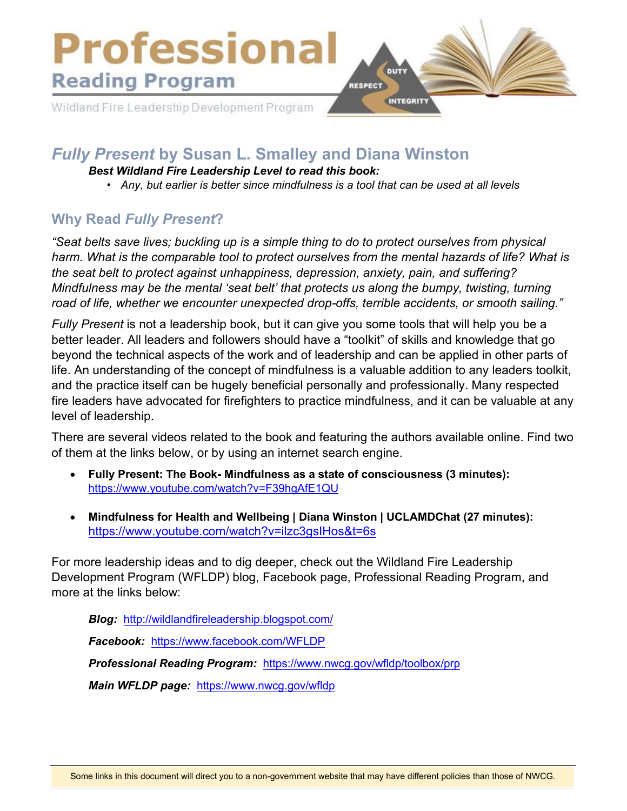

# *Fully Present* **by Susan L. Smalley and Diana Winston**

#### *Best Wildland Fire Leadership Level to read this book:*

• *Any, but earlier is better since mindfulness is a tool that can be used at all levels*

## **Why Read** *Fully Present***?**

*"Seat belts save lives; buckling up is a simple thing to do to protect ourselves from physical harm. What is the comparable tool to protect ourselves from the mental hazards of life? What is the seat belt to protect against unhappiness, depression, anxiety, pain, and suffering? Mindfulness may be the mental 'seat belt' that protects us along the bumpy, twisting, turning road of life, whether we encounter unexpected drop-offs, terrible accidents, or smooth sailing."* 

*Fully Present* is not a leadership book, but it can give you some tools that will help you be a better leader. All leaders and followers should have a "toolkit" of skills and knowledge that go beyond the technical aspects of the work and of leadership and can be applied in other parts of life. An understanding of the concept of mindfulness is a valuable addition to any leaders toolkit, and the practice itself can be hugely beneficial personally and professionally. Many respected fire leaders have advocated for firefighters to practice mindfulness, and it can be valuable at any level of leadership.

There are several videos related to the book and featuring the authors available online. Find two of them at the links below, or by using an internet search engine.

- **Fully Present: The Book- Mindfulness as a state of consciousness (3 minutes):** <https://www.youtube.com/watch?v=F39hgAfE1QU>
- **Mindfulness for Health and Wellbeing | Diana Winston | UCLAMDChat (27 minutes):** <https://www.youtube.com/watch?v=ilzc3gsIHos&t=6s>

For more leadership ideas and to dig deeper, check out the Wildland Fire Leadership Development Program (WFLDP) blog, Facebook page, Professional Reading Program, and more at the links below:

*Blog:* <http://wildlandfireleadership.blogspot.com/>

*Facebook:* <https://www.facebook.com/WFLDP>

*Professional Reading Program:* <https://www.nwcg.gov/wfldp/toolbox/prp>

*Main WFLDP page:* <https://www.nwcg.gov/wfldp>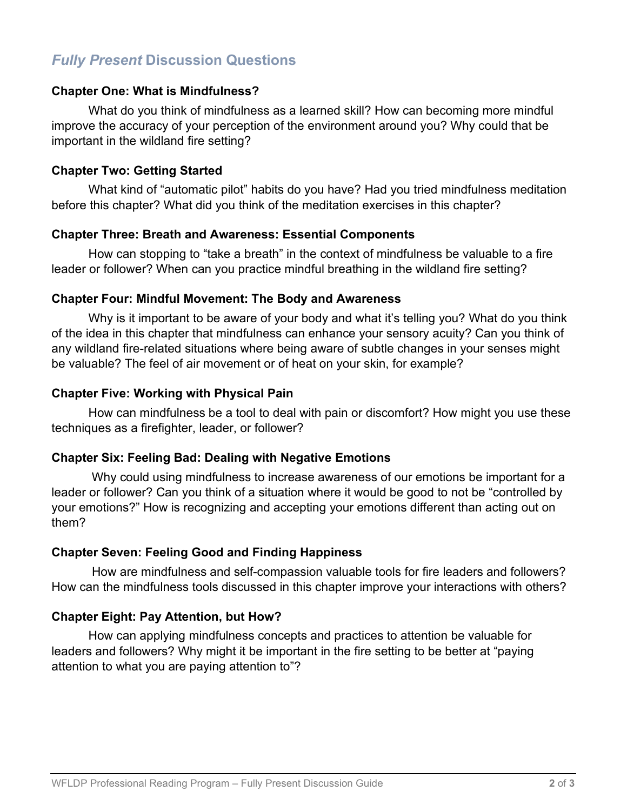## *Fully Present* **Discussion Questions**

#### **Chapter One: What is Mindfulness?**

What do you think of mindfulness as a learned skill? How can becoming more mindful improve the accuracy of your perception of the environment around you? Why could that be important in the wildland fire setting?

#### **Chapter Two: Getting Started**

What kind of "automatic pilot" habits do you have? Had you tried mindfulness meditation before this chapter? What did you think of the meditation exercises in this chapter?

#### **Chapter Three: Breath and Awareness: Essential Components**

How can stopping to "take a breath" in the context of mindfulness be valuable to a fire leader or follower? When can you practice mindful breathing in the wildland fire setting?

#### **Chapter Four: Mindful Movement: The Body and Awareness**

Why is it important to be aware of your body and what it's telling you? What do you think of the idea in this chapter that mindfulness can enhance your sensory acuity? Can you think of any wildland fire-related situations where being aware of subtle changes in your senses might be valuable? The feel of air movement or of heat on your skin, for example?

#### **Chapter Five: Working with Physical Pain**

How can mindfulness be a tool to deal with pain or discomfort? How might you use these techniques as a firefighter, leader, or follower?

#### **Chapter Six: Feeling Bad: Dealing with Negative Emotions**

Why could using mindfulness to increase awareness of our emotions be important for a leader or follower? Can you think of a situation where it would be good to not be "controlled by your emotions?" How is recognizing and accepting your emotions different than acting out on them?

#### **Chapter Seven: Feeling Good and Finding Happiness**

How are mindfulness and self-compassion valuable tools for fire leaders and followers? How can the mindfulness tools discussed in this chapter improve your interactions with others?

#### **Chapter Eight: Pay Attention, but How?**

How can applying mindfulness concepts and practices to attention be valuable for leaders and followers? Why might it be important in the fire setting to be better at "paying attention to what you are paying attention to"?